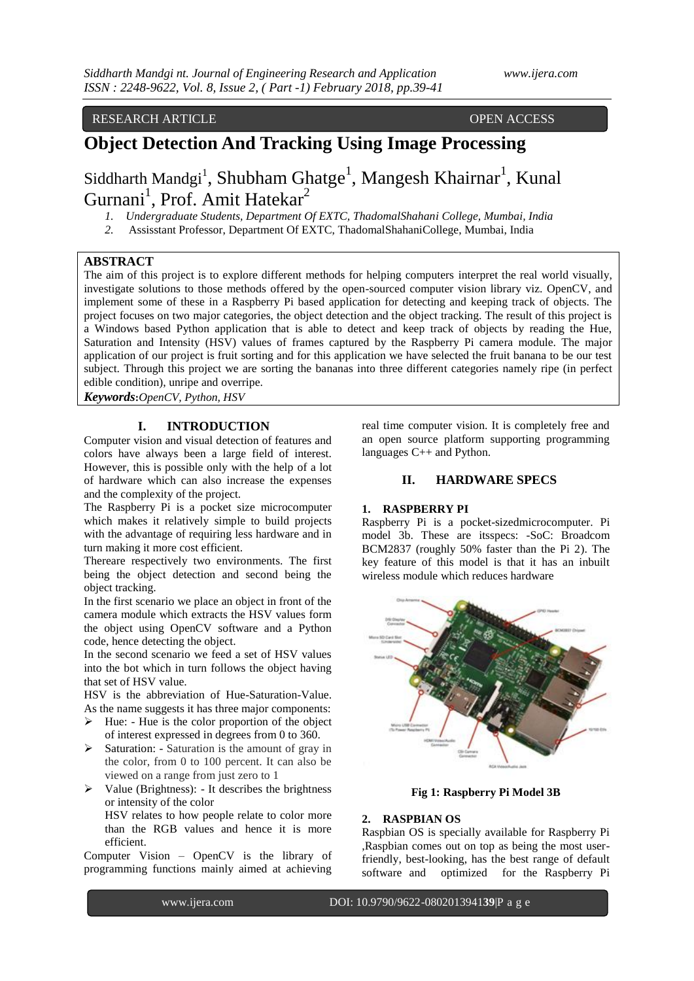RESEARCH ARTICLE **OPEN ACCESS** 

# **Object Detection And Tracking Using Image Processing**

Siddharth Mandgi<sup>1</sup>, Shubham Ghatge<sup>1</sup>, Mangesh Khairnar<sup>1</sup>, Kunal Gurnani<sup>1</sup>, Prof. Amit Hatekar<sup>2</sup>

*1. Undergraduate Students, Department Of EXTC, ThadomalShahani College, Mumbai, India*

*2.* Assisstant Professor, Department Of EXTC, ThadomalShahaniCollege, Mumbai, India

### **ABSTRACT**

The aim of this project is to explore different methods for helping computers interpret the real world visually, investigate solutions to those methods offered by the open-sourced computer vision library viz. OpenCV, and implement some of these in a Raspberry Pi based application for detecting and keeping track of objects. The project focuses on two major categories, the object detection and the object tracking. The result of this project is a Windows based Python application that is able to detect and keep track of objects by reading the Hue, Saturation and Intensity (HSV) values of frames captured by the Raspberry Pi camera module. The major application of our project is fruit sorting and for this application we have selected the fruit banana to be our test subject. Through this project we are sorting the bananas into three different categories namely ripe (in perfect edible condition), unripe and overripe.

*Keywords***:***OpenCV, Python, HSV*

# **I. INTRODUCTION**

Computer vision and visual detection of features and colors have always been a large field of interest. However, this is possible only with the help of a lot of hardware which can also increase the expenses and the complexity of the project.

The Raspberry Pi is a pocket size microcomputer which makes it relatively simple to build projects with the advantage of requiring less hardware and in turn making it more cost efficient.

Thereare respectively two environments. The first being the object detection and second being the object tracking.

In the first scenario we place an object in front of the camera module which extracts the HSV values form the object using OpenCV software and a Python code, hence detecting the object.

In the second scenario we feed a set of HSV values into the bot which in turn follows the object having that set of HSV value.

HSV is the abbreviation of Hue-Saturation-Value. As the name suggests it has three major components:

- $\triangleright$  Hue: Hue is the color proportion of the object of interest expressed in degrees from 0 to 360.
- $\triangleright$  Saturation: Saturation is the amount of gray in the color, from 0 to 100 percent. It can also be viewed on a range from just zero to 1
- $\triangleright$  Value (Brightness): It describes the brightness or intensity of the color

HSV relates to how people relate to color more than the RGB values and hence it is more efficient.

Computer Vision – OpenCV is the library of programming functions mainly aimed at achieving

real time computer vision. It is completely free and an open source platform supporting programming languages C++ and Python.

# **II. HARDWARE SPECS**

## **1. RASPBERRY PI**

Raspberry Pi is a pocket-sizedmicrocomputer. Pi model 3b. These are itsspecs: -SoC: Broadcom BCM2837 (roughly 50% faster than the Pi 2). The key feature of this model is that it has an inbuilt wireless module which reduces hardware



**Fig 1: Raspberry Pi Model 3B**

### **2. RASPBIAN OS**

Raspbian OS is specially available for Raspberry Pi ,Raspbian comes out on top as being the most userfriendly, best-looking, has the best range of default software and optimized for the Raspberry Pi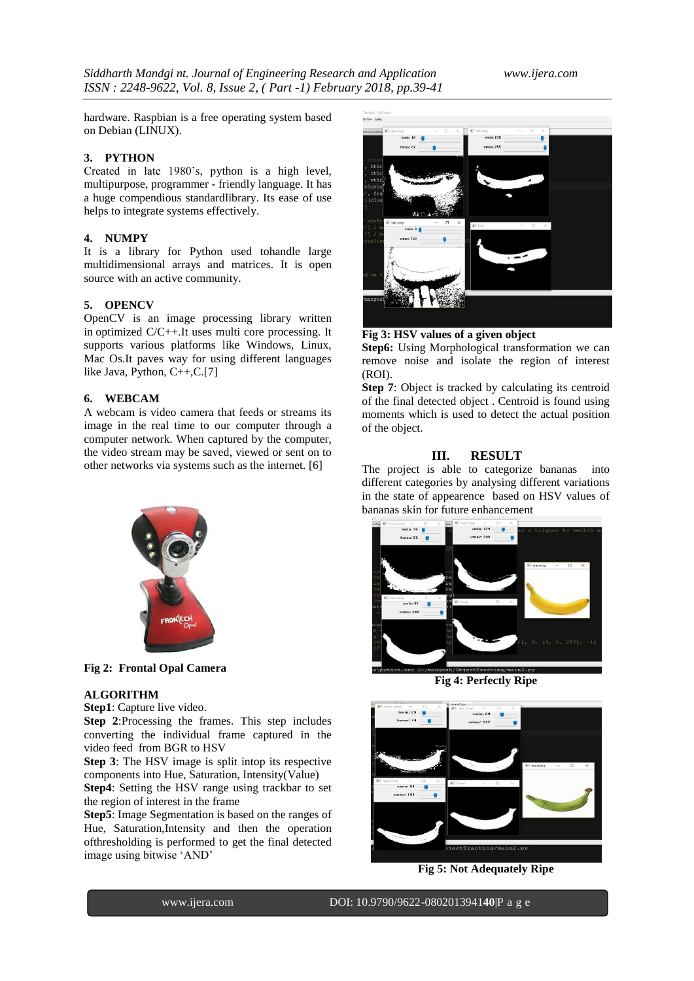hardware. Raspbian is a free operating system based on Debian (LINUX).

#### **3. PYTHON**

Created in late 1980"s, python is a high level, multipurpose, programmer - friendly language. It has a huge compendious standardlibrary. Its ease of use helps to integrate systems effectively.

#### **4. NUMPY**

It is a library for Python used tohandle large multidimensional arrays and matrices. It is open source with an active community.

#### **5. OPENCV**

OpenCV is an image processing library written in optimized C/C++.It uses multi core processing. It supports various platforms like Windows, Linux, Mac Os.It paves way for using different languages like Java, Python, C++,C.[7]

#### **6. WEBCAM**

A webcam is video camera that feeds or streams its image in the real time to our computer through a computer network. When captured by the computer, the video stream may be saved, viewed or sent on to other networks via systems such as the internet. [6]



**Fig 2: Frontal Opal Camera**

# **ALGORITHM**

**Step1**: Capture live video.

**Step 2**:Processing the frames. This step includes converting the individual frame captured in the video feed from BGR to HSV

**Step 3**: The HSV image is split intop its respective components into Hue, Saturation, Intensity(Value)

**Step4**: Setting the HSV range using trackbar to set the region of interest in the frame

**Step5**: Image Segmentation is based on the ranges of Hue, Saturation,Intensity and then the operation ofthresholding is performed to get the final detected image using bitwise "AND"



**Fig 3: HSV values of a given object**

**Step6:** Using Morphological transformation we can remove noise and isolate the region of interest (ROI).

**Step 7**: Object is tracked by calculating its centroid of the final detected object . Centroid is found using moments which is used to detect the actual position of the object.

# **III. RESULT**

The project is able to categorize bananas into different categories by analysing different variations in the state of appearence based on HSV values of bananas skin for future enhancement



**Fig 4: Perfectly Ripe**



**Fig 5: Not Adequately Ripe**